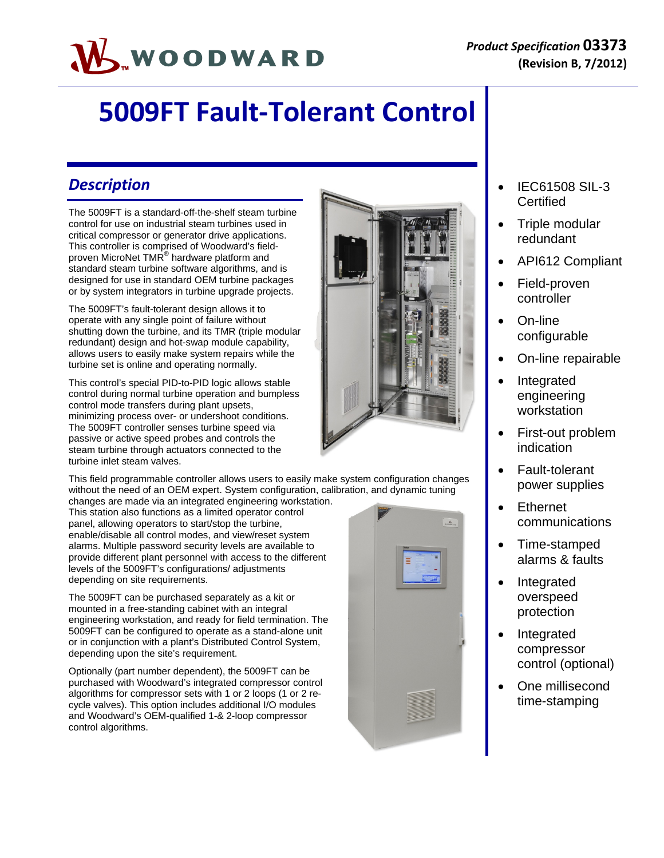# WOODWARD

# **5009FT Fault‐Tolerant Control**

#### *Description*

The 5009FT is a standard-off-the-shelf steam turbine control for use on industrial steam turbines used in critical compressor or generator drive applications. This controller is comprised of Woodward's fieldproven MicroNet TMR® hardware platform and standard steam turbine software algorithms, and is designed for use in standard OEM turbine packages or by system integrators in turbine upgrade projects.

The 5009FT's fault-tolerant design allows it to operate with any single point of failure without shutting down the turbine, and its TMR (triple modular redundant) design and hot-swap module capability, allows users to easily make system repairs while the turbine set is online and operating normally.

This control's special PID-to-PID logic allows stable control during normal turbine operation and bumpless control mode transfers during plant upsets, minimizing process over- or undershoot conditions. The 5009FT controller senses turbine speed via passive or active speed probes and controls the steam turbine through actuators connected to the turbine inlet steam valves.

This field programmable controller allows users to easily make system configuration changes without the need of an OEM expert. System configuration, calibration, and dynamic tuning

changes are made via an integrated engineering workstation. This station also functions as a limited operator control panel, allowing operators to start/stop the turbine, enable/disable all control modes, and view/reset system alarms. Multiple password security levels are available to provide different plant personnel with access to the different levels of the 5009FT's configurations/ adjustments depending on site requirements.

The 5009FT can be purchased separately as a kit or mounted in a free-standing cabinet with an integral engineering workstation, and ready for field termination. The 5009FT can be configured to operate as a stand-alone unit or in conjunction with a plant's Distributed Control System, depending upon the site's requirement.

Optionally (part number dependent), the 5009FT can be purchased with Woodward's integrated compressor control algorithms for compressor sets with 1 or 2 loops (1 or 2 recycle valves). This option includes additional I/O modules and Woodward's OEM-qualified 1-& 2-loop compressor control algorithms.



- IEC61508 SIL-3 **Certified**
- Triple modular redundant
- API612 Compliant
- Field-proven controller
- On-line configurable
- On-line repairable
- Integrated engineering workstation
- First-out problem indication
- Fault-tolerant power supplies
- Ethernet communications
- Time-stamped alarms & faults
- Integrated overspeed protection
- Integrated compressor control (optional)
- One millisecond time-stamping

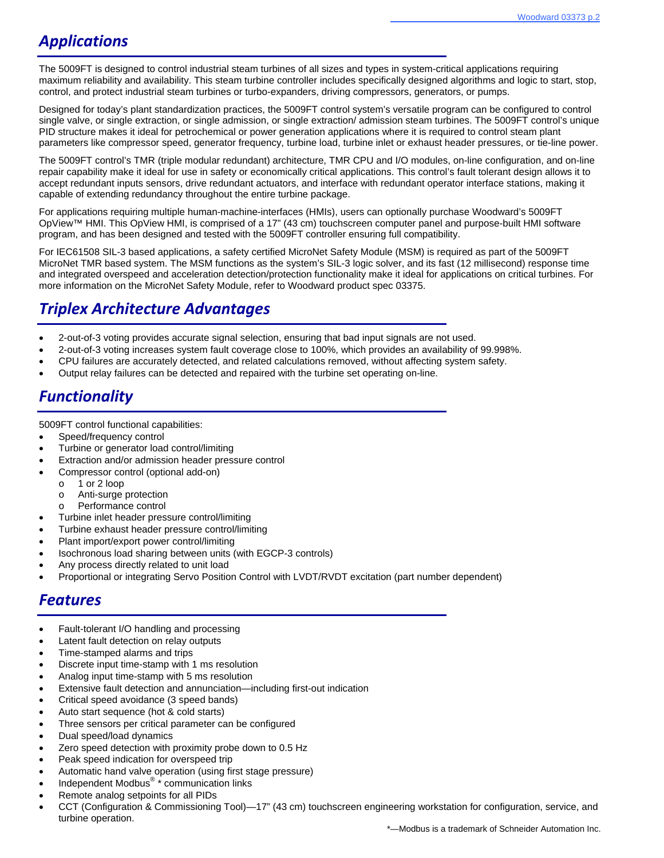# *Applications*

The 5009FT is designed to control industrial steam turbines of all sizes and types in system-critical applications requiring maximum reliability and availability. This steam turbine controller includes specifically designed algorithms and logic to start, stop, control, and protect industrial steam turbines or turbo-expanders, driving compressors, generators, or pumps.

Designed for today's plant standardization practices, the 5009FT control system's versatile program can be configured to control single valve, or single extraction, or single admission, or single extraction/ admission steam turbines. The 5009FT control's unique PID structure makes it ideal for petrochemical or power generation applications where it is required to control steam plant parameters like compressor speed, generator frequency, turbine load, turbine inlet or exhaust header pressures, or tie-line power.

The 5009FT control's TMR (triple modular redundant) architecture, TMR CPU and I/O modules, on-line configuration, and on-line repair capability make it ideal for use in safety or economically critical applications. This control's fault tolerant design allows it to accept redundant inputs sensors, drive redundant actuators, and interface with redundant operator interface stations, making it capable of extending redundancy throughout the entire turbine package.

For applications requiring multiple human-machine-interfaces (HMIs), users can optionally purchase Woodward's 5009FT OpView™ HMI. This OpView HMI, is comprised of a 17" (43 cm) touchscreen computer panel and purpose-built HMI software program, and has been designed and tested with the 5009FT controller ensuring full compatibility.

For IEC61508 SIL-3 based applications, a safety certified MicroNet Safety Module (MSM) is required as part of the 5009FT MicroNet TMR based system. The MSM functions as the system's SIL-3 logic solver, and its fast (12 millisecond) response time and integrated overspeed and acceleration detection/protection functionality make it ideal for applications on critical turbines. For more information on the MicroNet Safety Module, refer to Woodward product spec 03375.

## *Triplex Architecture Advantages*

- 2-out-of-3 voting provides accurate signal selection, ensuring that bad input signals are not used.
- 2-out-of-3 voting increases system fault coverage close to 100%, which provides an availability of 99.998%.
- CPU failures are accurately detected, and related calculations removed, without affecting system safety.
- Output relay failures can be detected and repaired with the turbine set operating on-line.

#### *Functionality*

5009FT control functional capabilities:

- Speed/frequency control
- Turbine or generator load control/limiting
- Extraction and/or admission header pressure control
- Compressor control (optional add-on)
	- o 1 or 2 loop
	- o Anti-surge protection
	- o Performance control
- Turbine inlet header pressure control/limiting
- Turbine exhaust header pressure control/limiting
- Plant import/export power control/limiting
- Isochronous load sharing between units (with EGCP-3 controls)
- Any process directly related to unit load
- Proportional or integrating Servo Position Control with LVDT/RVDT excitation (part number dependent)

#### *Features*

- Fault-tolerant I/O handling and processing
- Latent fault detection on relay outputs
- Time-stamped alarms and trips
- Discrete input time-stamp with 1 ms resolution
- Analog input time-stamp with 5 ms resolution
- Extensive fault detection and annunciation—including first-out indication
- Critical speed avoidance (3 speed bands)
- Auto start sequence (hot & cold starts)
- Three sensors per critical parameter can be configured
- Dual speed/load dynamics
- Zero speed detection with proximity probe down to 0.5 Hz
- Peak speed indication for overspeed trip
- Automatic hand valve operation (using first stage pressure)
- $\bullet$  Independent Modbus<sup>®</sup>  $*$  communication links
- Remote analog setpoints for all PIDs
- CCT (Configuration & Commissioning Tool)—17" (43 cm) touchscreen engineering workstation for configuration, service, and turbine operation.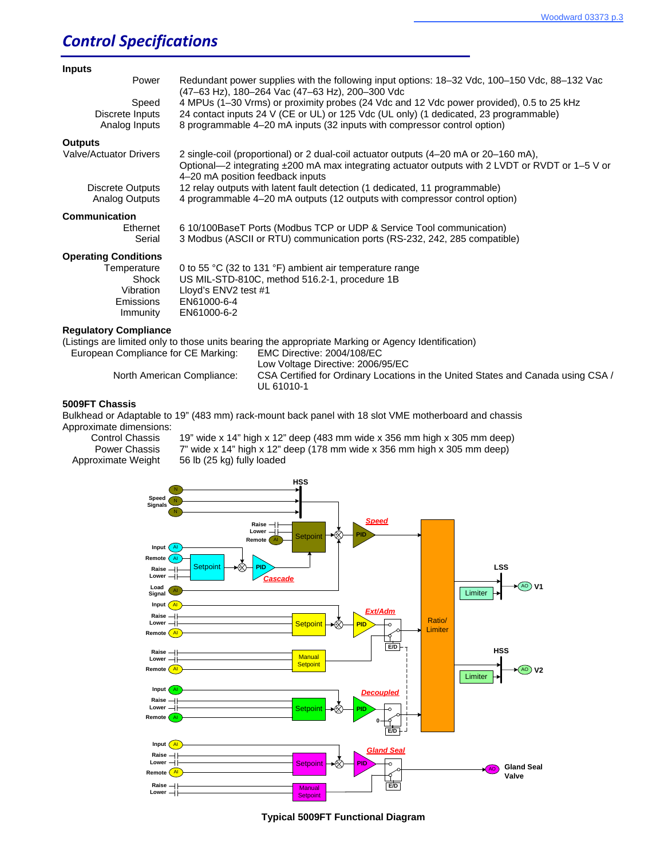#### *Control Specifications*

| <b>Inputs</b>                 |                                                                                                                                                                                                                             |
|-------------------------------|-----------------------------------------------------------------------------------------------------------------------------------------------------------------------------------------------------------------------------|
| Power                         | Redundant power supplies with the following input options: 18–32 Vdc, 100–150 Vdc, 88–132 Vac<br>(47-63 Hz), 180-264 Vac (47-63 Hz), 200-300 Vdc                                                                            |
| Speed                         | 4 MPUs (1-30 Vrms) or proximity probes (24 Vdc and 12 Vdc power provided), 0.5 to 25 kHz                                                                                                                                    |
| Discrete Inputs               | 24 contact inputs 24 V (CE or UL) or 125 Vdc (UL only) (1 dedicated, 23 programmable)                                                                                                                                       |
| Analog Inputs                 | 8 programmable 4-20 mA inputs (32 inputs with compressor control option)                                                                                                                                                    |
| <b>Outputs</b>                |                                                                                                                                                                                                                             |
| <b>Valve/Actuator Drivers</b> | 2 single-coil (proportional) or 2 dual-coil actuator outputs (4-20 mA or 20-160 mA),<br>Optional-2 integrating ±200 mA max integrating actuator outputs with 2 LVDT or RVDT or 1-5 V or<br>4-20 mA position feedback inputs |
| Discrete Outputs              | 12 relay outputs with latent fault detection (1 dedicated, 11 programmable)                                                                                                                                                 |
| Analog Outputs                | 4 programmable 4–20 mA outputs (12 outputs with compressor control option)                                                                                                                                                  |
| Communication                 |                                                                                                                                                                                                                             |
| Ethernet                      | 6 10/100BaseT Ports (Modbus TCP or UDP & Service Tool communication)                                                                                                                                                        |
| Serial                        | 3 Modbus (ASCII or RTU) communication ports (RS-232, 242, 285 compatible)                                                                                                                                                   |
| <b>Operating Conditions</b>   |                                                                                                                                                                                                                             |
| Temperature                   | 0 to 55 °C (32 to 131 °F) ambient air temperature range                                                                                                                                                                     |
| Shock                         | US MIL-STD-810C, method 516.2-1, procedure 1B                                                                                                                                                                               |
| Vibration                     | Lloyd's ENV2 test #1                                                                                                                                                                                                        |
| Emissions                     | EN61000-6-4                                                                                                                                                                                                                 |
| Immunity                      | EN61000-6-2                                                                                                                                                                                                                 |

#### **Regulatory Compliance**

(Listings are limited only to those units bearing the appropriate Marking or Agency Identification)

 European Compliance for CE Marking: EMC Directive: 2004/108/EC Low Voltage Directive: 2006/95/EC<br>North American Compliance: CSA Certified for Ordinary Location CSA Certified for Ordinary Locations in the United States and Canada using CSA / UL 61010-1

#### **5009FT Chassis**

Bulkhead or Adaptable to 19" (483 mm) rack-mount back panel with 18 slot VME motherboard and chassis Approximate dimensions:

 Control Chassis 19" wide x 14" high x 12" deep (483 mm wide x 356 mm high x 305 mm deep) Power Chassis 7" wide x 14" high x 12" deep (178 mm wide x 356 mm high x 305 mm deep) Approximate Weight 56 lb (25 kg) fully loaded



**Typical 5009FT Functional Diagram**